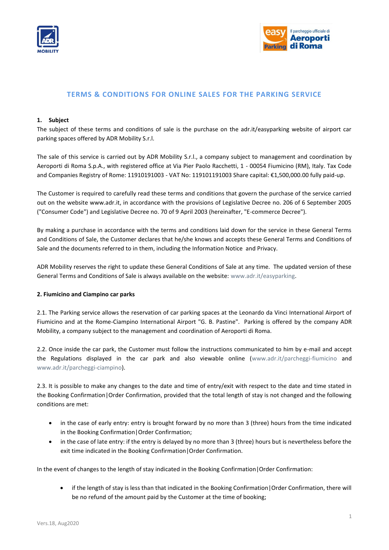



# **TERMS & CONDITIONS FOR ONLINE SALES FOR THE PARKING SERVICE**

### **1. Subject**

The subject of these terms and conditions of sale is the purchase on the adr.it/easyparking website of airport car parking spaces offered by ADR Mobility S.r.l.

The sale of this service is carried out by ADR Mobility S.r.l., a company subject to management and coordination by Aeroporti di Roma S.p.A., with registered office at Via Pier Paolo Racchetti, 1 - 00054 Fiumicino (RM), Italy. Tax Code and Companies Registry of Rome: 11910191003 - VAT No: 119101191003 Share capital: €1,500,000.00 fully paid-up.

The Customer is required to carefully read these terms and conditions that govern the purchase of the service carried out on the website www.adr.it, in accordance with the provisions of Legislative Decree no. 206 of 6 September 2005 ("Consumer Code") and Legislative Decree no. 70 of 9 April 2003 (hereinafter, "E-commerce Decree").

By making a purchase in accordance with the terms and conditions laid down for the service in these General Terms and Conditions of Sale, the Customer declares that he/she knows and accepts these General Terms and Conditions of Sale and the documents referred to in them, including the Information Notice and Privacy.

ADR Mobility reserves the right to update these General Conditions of Sale at any time. The updated version of these General Terms and Conditions of Sale is always available on the website: [www.adr.it/easyparking.](http://www.adr.it/easyparking)

#### **2. Fiumicino and Ciampino car parks**

2.1. The Parking service allows the reservation of car parking spaces at the Leonardo da Vinci International Airport of Fiumicino and at the Rome-Ciampino International Airport "G. B. Pastine". Parking is offered by the company ADR Mobility, a company subject to the management and coordination of Aeroporti di Roma.

2.2. Once inside the car park, the Customer must follow the instructions communicated to him by e-mail and accept the Regulations displayed in the car park and also viewable online [\(www.adr.it/parcheggi-fiumicino](http://www.adr.it/parcheggi-fiumicino) and [www.adr.it/parcheggi-ciampino\)](http://www.adr.it/parcheggi-ciampino).

2.3. It is possible to make any changes to the date and time of entry/exit with respect to the date and time stated in the Booking Confirmation|Order Confirmation, provided that the total length of stay is not changed and the following conditions are met:

- in the case of early entry: entry is brought forward by no more than 3 (three) hours from the time indicated in the Booking Confirmation|Order Confirmation;
- in the case of late entry: if the entry is delayed by no more than 3 (three) hours but is nevertheless before the exit time indicated in the Booking Confirmation|Order Confirmation.

In the event of changes to the length of stay indicated in the Booking Confirmation|Order Confirmation:

• if the length of stay is less than that indicated in the Booking Confirmation | Order Confirmation, there will be no refund of the amount paid by the Customer at the time of booking;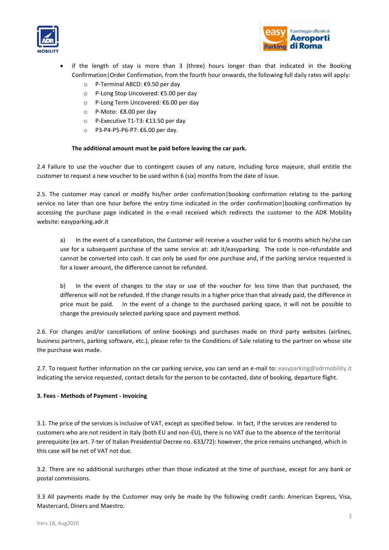



- if the length of stay is more than 3 (three) hours longer than that indicated in the Booking Confirmation|Order Confirmation, from the fourth hour onwards, the following full daily rates will apply:
	- o P-Terminal ABCD: €9.50 per day
	- o P-Long Stop Uncovered: €5.00 per day
	- o P-Long Term Uncovered: €6.00 per day
	- o P-Moto: €8.00 per day
	- o P-Executive T1-T3: €13.50 per day
	- o P3-P4-P5-P6-P7: €6.00 per day.

### **The additional amount must be paid before leaving the car park.**

2.4 Failure to use the voucher due to contingent causes of any nature, including force majeure, shall entitle the customer to request a new voucher to be used within 6 (six) months from the date of issue.

2.5. The customer may cancel or modify his/her order confirmation|booking confirmation relating to the parking service no later than one hour before the entry time indicated in the order confirmation|booking confirmation by accessing the purchase page indicated in the e-mail received which redirects the customer to the ADR Mobility website: easyparking.adr.it

a) In the event of a cancellation, the Customer will receive a voucher valid for 6 months which he/she can use for a subsequent purchase of the same service at: adr.it/easyparking. The code is non-refundable and cannot be converted into cash. It can only be used for one purchase and, if the parking service requested is for a lower amount, the difference cannot be refunded.

b) In the event of changes to the stay or use of the voucher for less time than that purchased, the difference will not be refunded. If the change results in a higher price than that already paid, the difference in price must be paid. In the event of a change to the purchased parking space, it will not be possible to change the previously selected parking space and payment method.

2.6. For changes and/or cancellations of online bookings and purchases made on third party websites (airlines, business partners, parking software, etc.), please refer to the Conditions of Sale relating to the partner on whose site the purchase was made.

2.7. To request further information on the car parking service, you can send an e-mail to: [easyparking@adrmobility.it](mailto:easyparking@adrmobility.it) indicating the service requested, contact details for the person to be contacted, date of booking, departure flight.

### **3. Fees - Methods of Payment - Invoicing**

3.1. The price of the services is inclusive of VAT, except as specified below. In fact, if the services are rendered to customers who are not resident in Italy (both EU and non-EU), there is no VAT due to the absence of the territorial prerequisite (ex art. 7-ter of Italian Presidential Decree no. 633/72): however, the price remains unchanged, which in this case will be net of VAT not due.

3.2. There are no additional surcharges other than those indicated at the time of purchase, except for any bank or postal commissions.

3.3 All payments made by the Customer may only be made by the following credit cards: American Express, Visa, Mastercard, Diners and Maestro.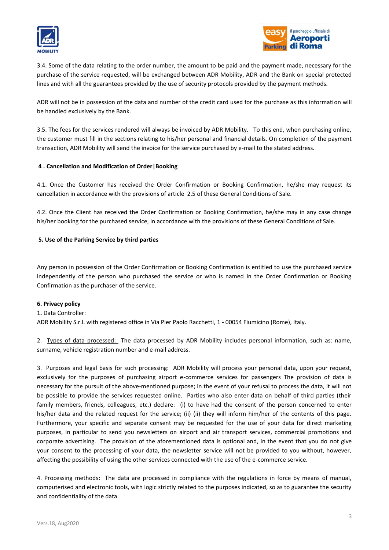



3.4. Some of the data relating to the order number, the amount to be paid and the payment made, necessary for the purchase of the service requested, will be exchanged between ADR Mobility, ADR and the Bank on special protected lines and with all the guarantees provided by the use of security protocols provided by the payment methods.

ADR will not be in possession of the data and number of the credit card used for the purchase as this information will be handled exclusively by the Bank.

3.5. The fees for the services rendered will always be invoiced by ADR Mobility. To this end, when purchasing online, the customer must fill in the sections relating to his/her personal and financial details. On completion of the payment transaction, ADR Mobility will send the invoice for the service purchased by e-mail to the stated address.

### **4 . Cancellation and Modification of Order|Booking**

4.1. Once the Customer has received the Order Confirmation or Booking Confirmation, he/she may request its cancellation in accordance with the provisions of article 2.5 of these General Conditions of Sale.

4.2. Once the Client has received the Order Confirmation or Booking Confirmation, he/she may in any case change his/her booking for the purchased service, in accordance with the provisions of these General Conditions of Sale.

# **5. Use of the Parking Service by third parties**

Any person in possession of the Order Confirmation or Booking Confirmation is entitled to use the purchased service independently of the person who purchased the service or who is named in the Order Confirmation or Booking Confirmation as the purchaser of the service.

### **6. Privacy policy**

### 1**.** Data Controller:

ADR Mobility S.r.l. with registered office in Via Pier Paolo Racchetti, 1 - 00054 Fiumicino (Rome), Italy.

2. Types of data processed: The data processed by ADR Mobility includes personal information, such as: name, surname, vehicle registration number and e-mail address.

3. Purposes and legal basis for such processing: ADR Mobility will process your personal data, upon your request, exclusively for the purposes of purchasing airport e-commerce services for passengers The provision of data is necessary for the pursuit of the above-mentioned purpose; in the event of your refusal to process the data, it will not be possible to provide the services requested online. Parties who also enter data on behalf of third parties (their family members, friends, colleagues, etc.) declare: (i) to have had the consent of the person concerned to enter his/her data and the related request for the service; (ii) (ii) they will inform him/her of the contents of this page. Furthermore, your specific and separate consent may be requested for the use of your data for direct marketing purposes, in particular to send you newsletters on airport and air transport services, commercial promotions and corporate advertising. The provision of the aforementioned data is optional and, in the event that you do not give your consent to the processing of your data, the newsletter service will not be provided to you without, however, affecting the possibility of using the other services connected with the use of the e-commerce service.

4. Processing methods: The data are processed in compliance with the regulations in force by means of manual, computerised and electronic tools, with logic strictly related to the purposes indicated, so as to guarantee the security and confidentiality of the data.